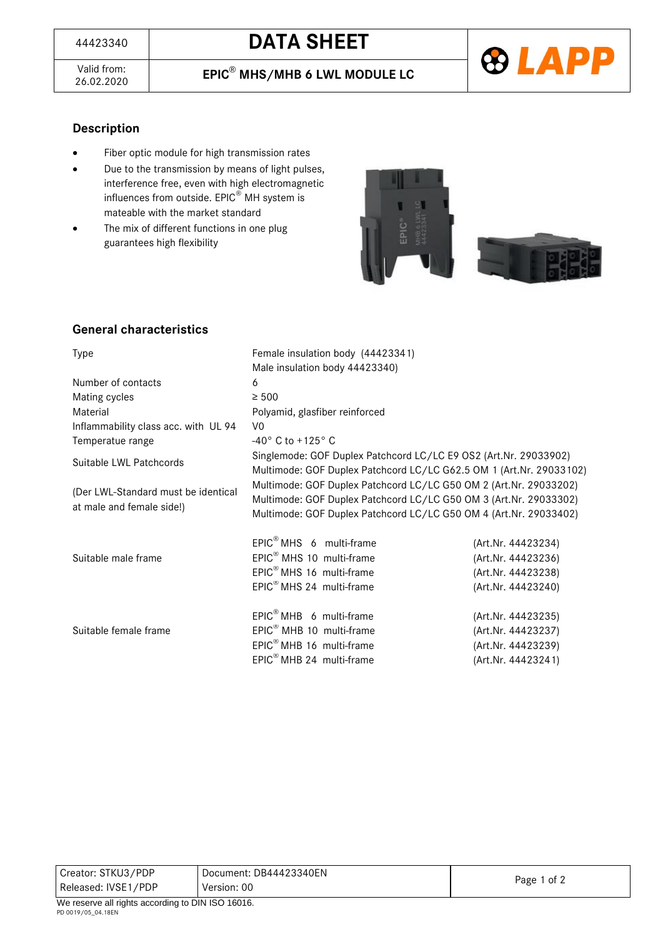Valid from:<br>26.02.2020

26.02.2020 **EPIC**® **MHS/MHB 6 LWL MODULE LC**



# **Description**

- Fiber optic module for high transmission rates
- Due to the transmission by means of light pulses, interference free, even with high electromagnetic influences from outside. EPIC® MH system is mateable with the market standard
- The mix of different functions in one plug guarantees high flexibility





# **General characteristics**

| <b>Type</b>                                                      | Female insulation body (44423341)                                                                                                                                                                           |                    |  |
|------------------------------------------------------------------|-------------------------------------------------------------------------------------------------------------------------------------------------------------------------------------------------------------|--------------------|--|
|                                                                  | Male insulation body 44423340)                                                                                                                                                                              |                    |  |
| Number of contacts                                               | 6                                                                                                                                                                                                           |                    |  |
| Mating cycles                                                    | $\geq 500$                                                                                                                                                                                                  |                    |  |
| Material                                                         | Polyamid, glasfiber reinforced                                                                                                                                                                              |                    |  |
| Inflammability class acc. with UL 94                             | V <sub>0</sub>                                                                                                                                                                                              |                    |  |
| Temperatue range                                                 | $-40^{\circ}$ C to $+125^{\circ}$ C                                                                                                                                                                         |                    |  |
| Suitable LWL Patchcords                                          | Singlemode: GOF Duplex Patchcord LC/LC E9 OS2 (Art.Nr. 29033902)<br>Multimode: GOF Duplex Patchcord LC/LC G62.5 OM 1 (Art.Nr. 29033102)                                                                     |                    |  |
| (Der LWL-Standard must be identical<br>at male and female side!) | Multimode: GOF Duplex Patchcord LC/LC G50 OM 2 (Art.Nr. 29033202)<br>Multimode: GOF Duplex Patchcord LC/LC G50 OM 3 (Art.Nr. 29033302)<br>Multimode: GOF Duplex Patchcord LC/LC G50 OM 4 (Art.Nr. 29033402) |                    |  |
|                                                                  | $EPIC^{\circledR}$ MHS 6 multi-frame                                                                                                                                                                        | (Art.Nr. 44423234) |  |
| Suitable male frame                                              | EPIC <sup>®</sup> MHS 10 multi-frame                                                                                                                                                                        | (Art.Nr. 44423236) |  |
|                                                                  | EPIC <sup>®</sup> MHS 16 multi-frame                                                                                                                                                                        | (Art.Nr. 44423238) |  |
|                                                                  | EPIC <sup>®</sup> MHS 24 multi-frame                                                                                                                                                                        | (Art.Nr. 44423240) |  |
| Suitable female frame                                            | $EPIC^{\circledast}$ MHB 6 multi-frame                                                                                                                                                                      | (Art.Nr. 44423235) |  |
|                                                                  | EPIC <sup>®</sup> MHB 10 multi-frame                                                                                                                                                                        | (Art.Nr. 44423237) |  |
|                                                                  | $EPIC^{\circledast}$ MHB 16 multi-frame                                                                                                                                                                     | (Art.Nr. 44423239) |  |
|                                                                  | EPIC <sup>®</sup> MHB 24 multi-frame                                                                                                                                                                        | (Art.Nr. 44423241) |  |

| Creator: STKU3/PDP                                         | Document: DB44423340EN | Page 1 of 2 |  |
|------------------------------------------------------------|------------------------|-------------|--|
| Released: IVSE1/PDP                                        | Version: 00            |             |  |
| $M_{\odot}$ reseming all rights according to DIN ICO 40040 |                        |             |  |